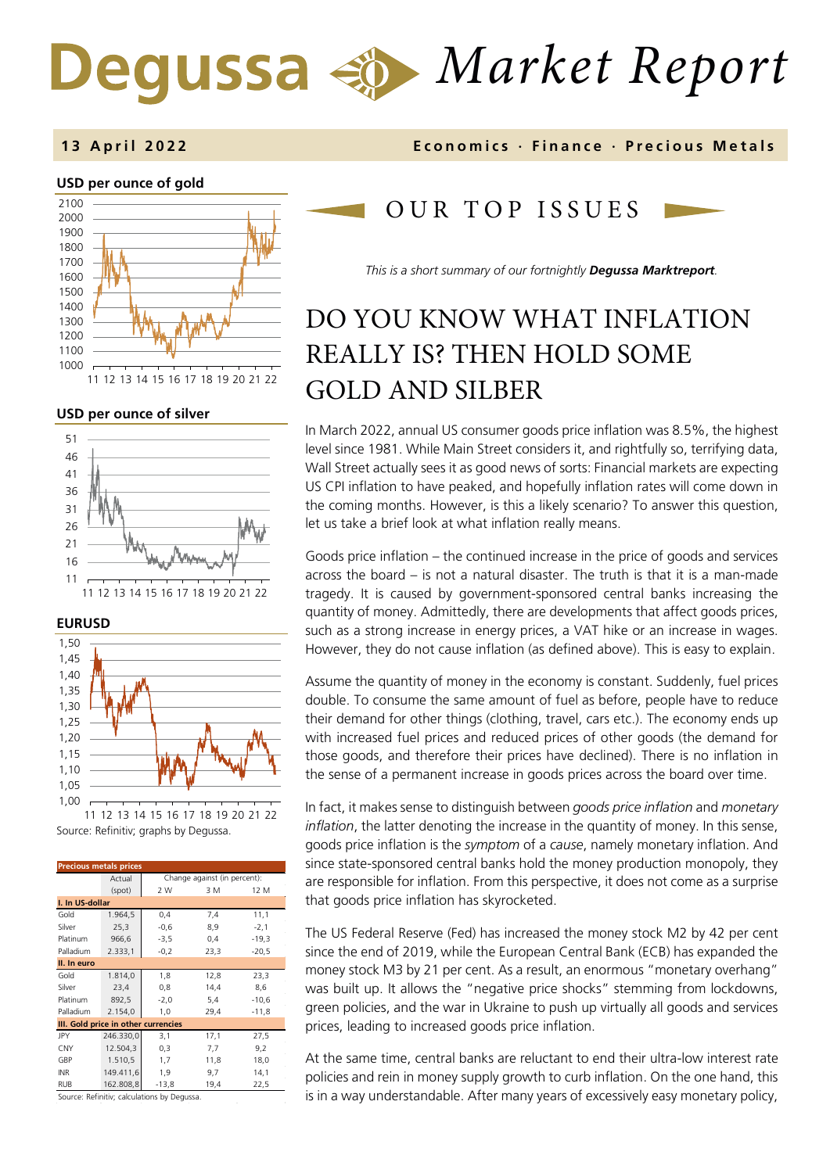# *Market Report* Degussa

## **USD per ounce of gold**  1000 1100 1200 1300 1400 1500 1600 1700 1800 1900 2000 2100

11 12 13 14 15 16 17 18 19 20 21 22

### **USD per ounce of silver**







Source: Refinitiv; graphs by Degussa. 11 12 13 14 15 16 17 18 19 20 21 22

| Change against (in percent):        |  |  |  |  |  |
|-------------------------------------|--|--|--|--|--|
|                                     |  |  |  |  |  |
|                                     |  |  |  |  |  |
|                                     |  |  |  |  |  |
|                                     |  |  |  |  |  |
|                                     |  |  |  |  |  |
|                                     |  |  |  |  |  |
|                                     |  |  |  |  |  |
|                                     |  |  |  |  |  |
|                                     |  |  |  |  |  |
|                                     |  |  |  |  |  |
|                                     |  |  |  |  |  |
| III. Gold price in other currencies |  |  |  |  |  |
|                                     |  |  |  |  |  |
|                                     |  |  |  |  |  |
|                                     |  |  |  |  |  |
|                                     |  |  |  |  |  |
|                                     |  |  |  |  |  |
|                                     |  |  |  |  |  |

Source: Refinitiv; calculations by Degussa.

## **1 3 April 202 2 Economics · Finance · Precious Metals**

## OUR TOP ISSUE S

*This is a short summary of our fortnightly Degussa Marktreport.*

# DO YOU KNOW WHAT INFLATION REALLY IS? THEN HOLD SOME GOLD AND SILBER

In March 2022, annual US consumer goods price inflation was 8.5%, the highest level since 1981. While Main Street considers it, and rightfully so, terrifying data, Wall Street actually sees it as good news of sorts: Financial markets are expecting US CPI inflation to have peaked, and hopefully inflation rates will come down in the coming months. However, is this a likely scenario? To answer this question, let us take a brief look at what inflation really means.

Goods price inflation – the continued increase in the price of goods and services across the board – is not a natural disaster. The truth is that it is a man-made tragedy. It is caused by government-sponsored central banks increasing the quantity of money. Admittedly, there are developments that affect goods prices, such as a strong increase in energy prices, a VAT hike or an increase in wages. However, they do not cause inflation (as defined above). This is easy to explain.

Assume the quantity of money in the economy is constant. Suddenly, fuel prices double. To consume the same amount of fuel as before, people have to reduce their demand for other things (clothing, travel, cars etc.). The economy ends up with increased fuel prices and reduced prices of other goods (the demand for those goods, and therefore their prices have declined). There is no inflation in the sense of a permanent increase in goods prices across the board over time.

In fact, it makes sense to distinguish between *goods price inflation* and *monetary inflation*, the latter denoting the increase in the quantity of money. In this sense, goods price inflation is the *symptom* of a *cause*, namely monetary inflation. And since state-sponsored central banks hold the money production monopoly, they are responsible for inflation. From this perspective, it does not come as a surprise that goods price inflation has skyrocketed.

The US Federal Reserve (Fed) has increased the money stock M2 by 42 per cent since the end of 2019, while the European Central Bank (ECB) has expanded the money stock M3 by 21 per cent. As a result, an enormous "monetary overhang" was built up. It allows the "negative price shocks" stemming from lockdowns, green policies, and the war in Ukraine to push up virtually all goods and services prices, leading to increased goods price inflation.

At the same time, central banks are reluctant to end their ultra-low interest rate policies and rein in money supply growth to curb inflation. On the one hand, this is in a way understandable. After many years of excessively easy monetary policy,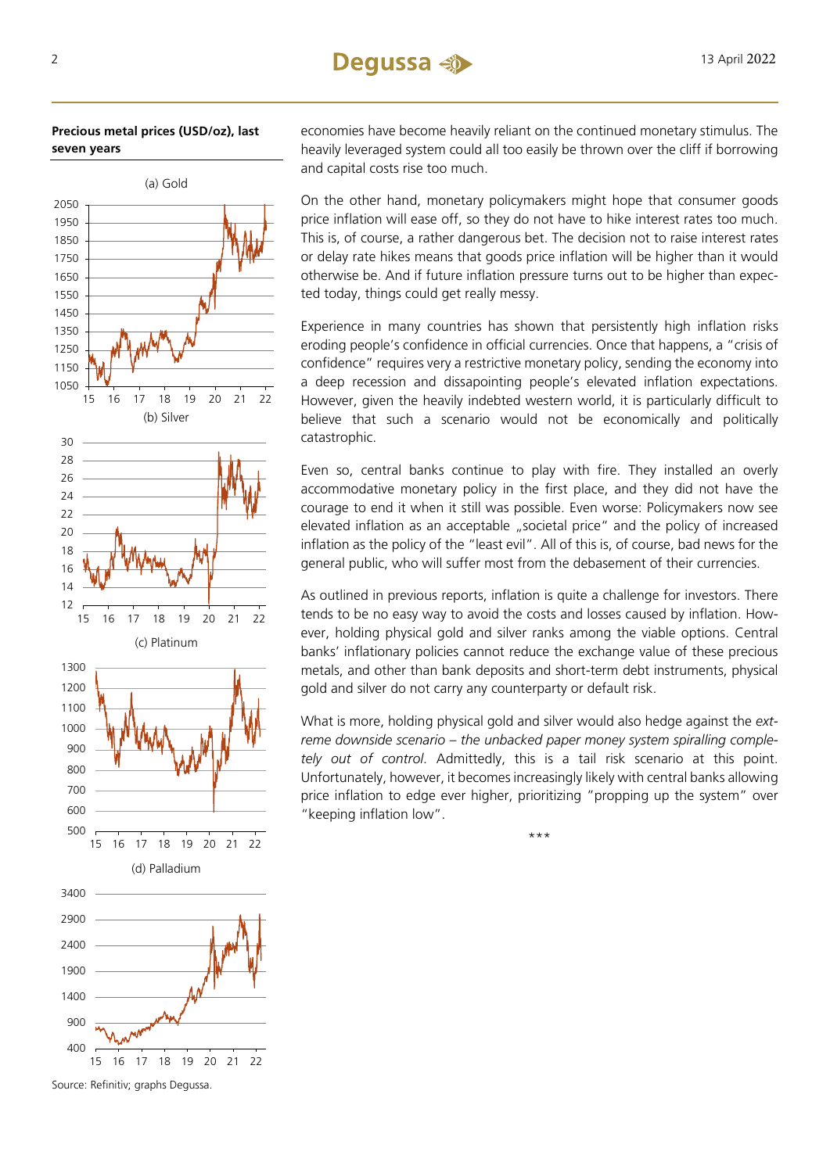## **Precious metal prices (USD/oz), last seven years**



Source: Refinitiv; graphs Degussa.

economies have become heavily reliant on the continued monetary stimulus. The heavily leveraged system could all too easily be thrown over the cliff if borrowing and capital costs rise too much.

On the other hand, monetary policymakers might hope that consumer goods price inflation will ease off, so they do not have to hike interest rates too much. This is, of course, a rather dangerous bet. The decision not to raise interest rates or delay rate hikes means that goods price inflation will be higher than it would otherwise be. And if future inflation pressure turns out to be higher than expected today, things could get really messy.

Experience in many countries has shown that persistently high inflation risks eroding people's confidence in official currencies. Once that happens, a "crisis of confidence" requires very a restrictive monetary policy, sending the economy into a deep recession and dissapointing people's elevated inflation expectations. However, given the heavily indebted western world, it is particularly difficult to believe that such a scenario would not be economically and politically catastrophic.

Even so, central banks continue to play with fire. They installed an overly accommodative monetary policy in the first place, and they did not have the courage to end it when it still was possible. Even worse: Policymakers now see elevated inflation as an acceptable "societal price" and the policy of increased inflation as the policy of the "least evil". All of this is, of course, bad news for the general public, who will suffer most from the debasement of their currencies.

As outlined in previous reports, inflation is quite a challenge for investors. There tends to be no easy way to avoid the costs and losses caused by inflation. However, holding physical gold and silver ranks among the viable options. Central banks' inflationary policies cannot reduce the exchange value of these precious metals, and other than bank deposits and short-term debt instruments, physical gold and silver do not carry any counterparty or default risk.

What is more, holding physical gold and silver would also hedge against the *extreme downside scenario – the unbacked paper money system spiralling completely out of control*. Admittedly, this is a tail risk scenario at this point. Unfortunately, however, it becomes increasingly likely with central banks allowing price inflation to edge ever higher, prioritizing "propping up the system" over "keeping inflation low".

\*\*\*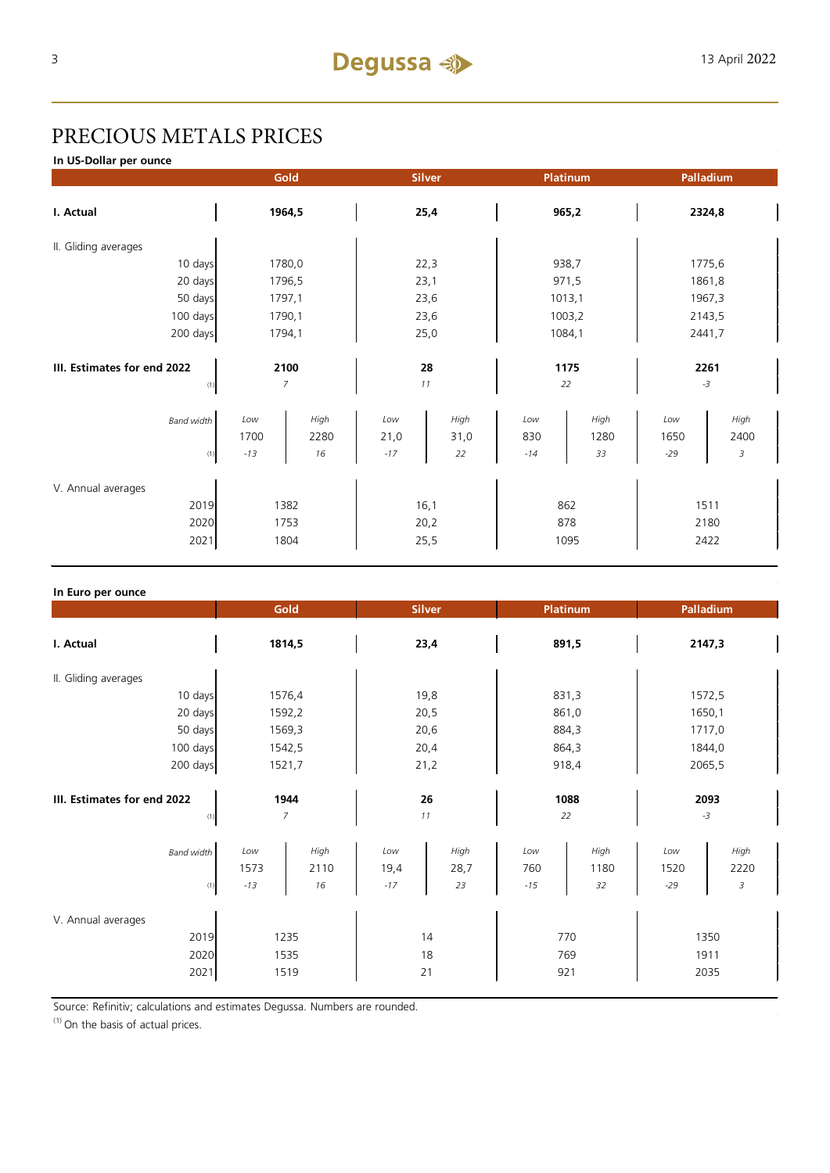## PRECIOUS METALS PRICES

**In US-Dollar per ounce**

|                                            |                        | Gold | Platinum<br><b>Silver</b> |      |                    | Palladium |                      |      |
|--------------------------------------------|------------------------|------|---------------------------|------|--------------------|-----------|----------------------|------|
| I. Actual                                  | 1964,5                 |      | 25,4                      |      | 965,2              |           | 2324,8               |      |
| II. Gliding averages                       |                        |      |                           |      |                    |           |                      |      |
| 10 days                                    | 1780,0                 |      | 22,3                      |      | 938,7              |           | 1775,6               |      |
| 20 days                                    | 1796,5                 |      | 23,1                      |      | 971,5              |           | 1861,8               |      |
| 50 days                                    | 1797,1                 |      | 23,6                      |      | 1013,1             |           | 1967,3               |      |
| 100 days                                   | 1790,1                 |      | 23,6                      |      | 1003,2             |           | 2143,5               |      |
| 200 days                                   | 1794,1                 |      | 25,0                      |      | 1084,1             |           | 2441,7               |      |
| III. Estimates for end 2022<br>(1)         | 2100<br>$\overline{7}$ |      | 28<br>11                  |      | 1175<br>22         |           | 2261<br>$-3$         |      |
| <b>Band width</b>                          | Low                    | High | Low                       | High | Low                | High      | Low                  | High |
|                                            | 1700                   | 2280 | 21,0                      | 31,0 | 830                | 1280      | 1650                 | 2400 |
| (1)                                        | $-13$                  | 16   | $-17$                     | 22   | $-14$              | 33        | $-29$                | 3    |
| V. Annual averages<br>2019<br>2020<br>2021 | 1382<br>1753<br>1804   |      | 16,1<br>20,2<br>25,5      |      | 862<br>878<br>1095 |           | 1511<br>2180<br>2422 |      |
|                                            |                        |      |                           |      |                    |           |                      |      |

| In Euro per ounce                          |                                            |                                            |                                           |                                                                     |  |  |
|--------------------------------------------|--------------------------------------------|--------------------------------------------|-------------------------------------------|---------------------------------------------------------------------|--|--|
|                                            | Gold                                       | <b>Silver</b>                              | <b>Platinum</b>                           | Palladium                                                           |  |  |
| I. Actual                                  | 1814,5                                     | 23,4                                       | 891,5                                     | 2147,3                                                              |  |  |
| II. Gliding averages                       |                                            |                                            |                                           |                                                                     |  |  |
| 10 days                                    | 1576,4                                     | 19,8                                       | 831,3                                     | 1572,5                                                              |  |  |
| 20 days                                    | 1592,2                                     | 20,5                                       | 861,0                                     | 1650,1                                                              |  |  |
| 50 days                                    | 1569,3                                     | 20,6                                       | 884,3                                     | 1717,0                                                              |  |  |
| 100 days                                   | 1542,5                                     | 20,4                                       | 864,3                                     | 1844,0                                                              |  |  |
| 200 days                                   | 1521,7                                     | 21,2                                       | 918,4                                     | 2065,5                                                              |  |  |
| III. Estimates for end 2022<br>(1)         | 1944<br>$\overline{7}$                     | 26<br>11                                   | 1088<br>22                                | 2093<br>$-3$                                                        |  |  |
| <b>Band width</b><br>(1)                   | High<br>Low<br>1573<br>2110<br>$-13$<br>16 | High<br>Low<br>19,4<br>28,7<br>$-17$<br>23 | High<br>Low<br>760<br>1180<br>$-15$<br>32 | High<br>Low<br>1520<br>2220<br>$\ensuremath{\mathfrak{Z}}$<br>$-29$ |  |  |
| V. Annual averages<br>2019<br>2020<br>2021 | 1235<br>1535<br>1519                       | 14<br>18<br>21                             | 770<br>769<br>921                         | 1350<br>1911<br>2035                                                |  |  |

Source: Refinitiv; calculations and estimates Degussa. Numbers are rounded.

 $(1)$  On the basis of actual prices.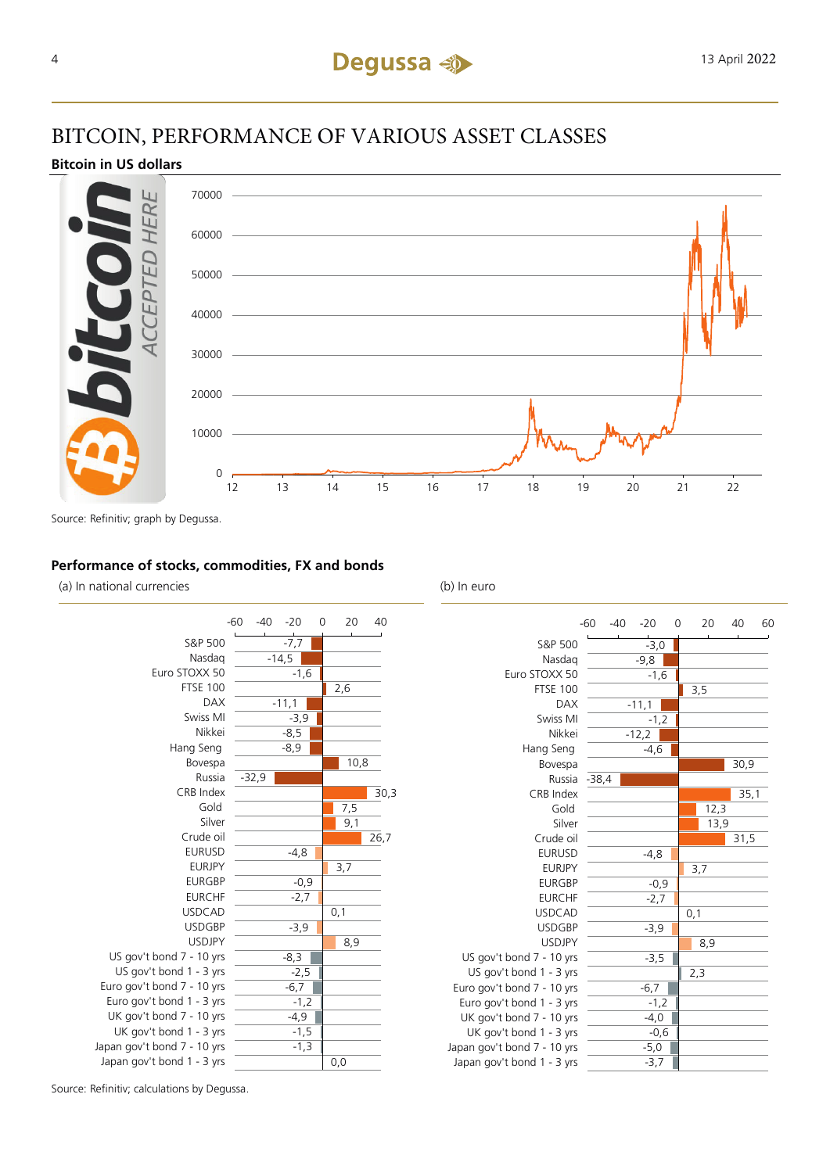## BITCOIN, PERFORMANCE OF VARIOUS ASSET CLASSES

## **Bitcoin in US dollars**



Source: Refinitiv; graph by Degussa.

## **Performance of stocks, commodities, FX and bonds**

(a) In national currencies (b) In euro



|                             | $-60$   | $-40$ | $-20$   | 0 |     | 20   | 40   | 60 |
|-----------------------------|---------|-------|---------|---|-----|------|------|----|
| S&P 500                     |         |       | $-3,0$  |   |     |      |      |    |
| Nasdag                      |         |       | $-9,8$  |   |     |      |      |    |
| Euro STOXX 50               |         |       | $-1,6$  |   |     |      |      |    |
| <b>FTSE 100</b>             |         |       |         |   | 3,5 |      |      |    |
| <b>DAX</b>                  |         |       | $-11,1$ |   |     |      |      |    |
| Swiss MI                    |         |       | $-1,2$  |   |     |      |      |    |
| Nikkei                      |         |       | $-12,2$ |   |     |      |      |    |
| Hang Seng                   |         |       | $-4,6$  |   |     |      |      |    |
| Bovespa                     |         |       |         |   |     |      | 30,9 |    |
| Russia                      | $-38,4$ |       |         |   |     |      |      |    |
| CRB Index                   |         |       |         |   |     |      | 35,1 |    |
| Gold                        |         |       |         |   |     | 12,3 |      |    |
| Silver                      |         |       |         |   |     | 13,9 |      |    |
| Crude oil                   |         |       |         |   |     |      | 31,5 |    |
| <b>EURUSD</b>               |         |       | $-4,8$  |   |     |      |      |    |
| <b>EURJPY</b>               |         |       |         |   | 3,7 |      |      |    |
| <b>EURGBP</b>               |         |       | $-0,9$  |   |     |      |      |    |
| <b>EURCHF</b>               |         |       | $-2,7$  |   |     |      |      |    |
| <b>USDCAD</b>               |         |       |         |   | 0,1 |      |      |    |
| <b>USDGBP</b>               |         |       | $-3,9$  |   |     |      |      |    |
| <b>USDJPY</b>               |         |       |         |   |     | 8,9  |      |    |
| US gov't bond 7 - 10 yrs    |         |       | $-3,5$  |   |     |      |      |    |
| US gov't bond 1 - 3 yrs     |         |       |         |   | 2,3 |      |      |    |
| Euro gov't bond 7 - 10 yrs  |         |       | $-6,7$  |   |     |      |      |    |
| Euro gov't bond 1 - 3 yrs   |         |       | $-1,2$  |   |     |      |      |    |
| UK gov't bond 7 - 10 yrs    |         |       | $-4,0$  |   |     |      |      |    |
| UK gov't bond 1 - 3 yrs     |         |       | $-0,6$  |   |     |      |      |    |
| Japan gov't bond 7 - 10 yrs |         |       | $-5,0$  |   |     |      |      |    |
| Japan gov't bond 1 - 3 yrs  |         |       | $-3,7$  |   |     |      |      |    |

Source: Refinitiv; calculations by Degussa.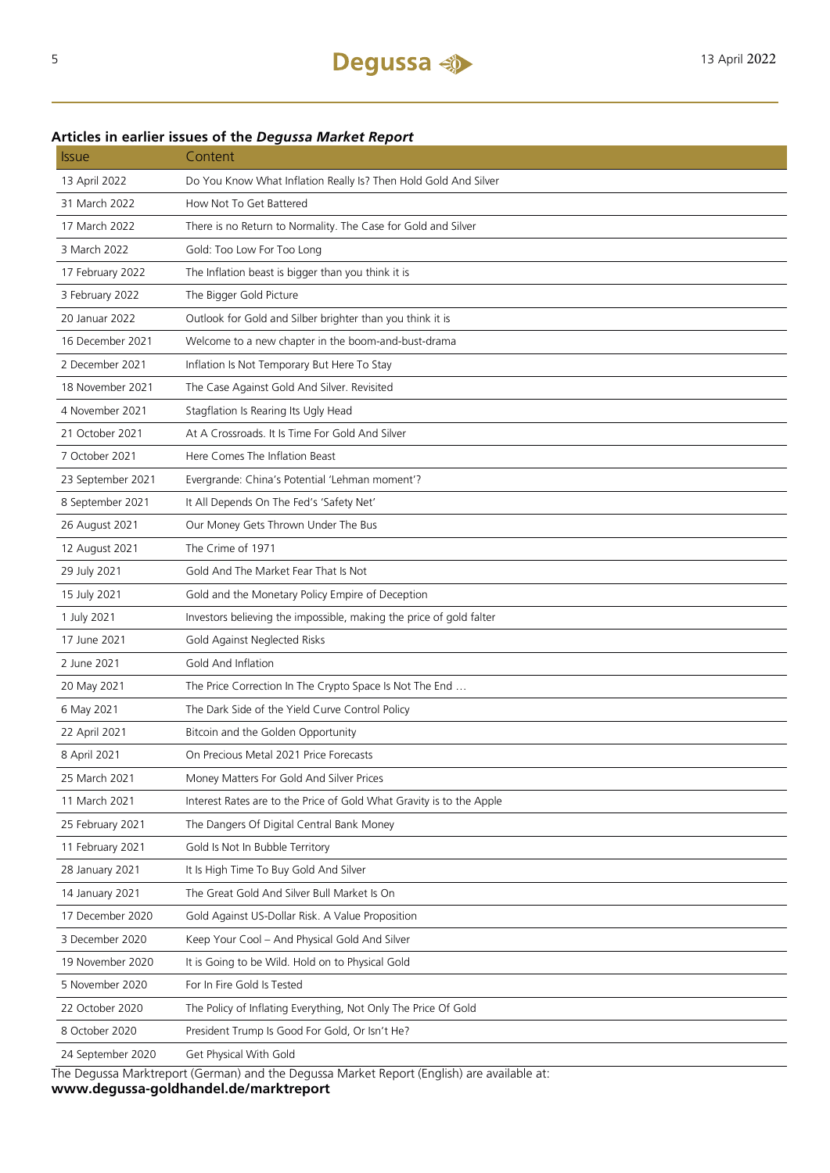## **Articles in earlier issues of the** *Degussa Market Report*

| <i><b>Issue</b></i> | Content                                                              |
|---------------------|----------------------------------------------------------------------|
| 13 April 2022       | Do You Know What Inflation Really Is? Then Hold Gold And Silver      |
| 31 March 2022       | How Not To Get Battered                                              |
| 17 March 2022       | There is no Return to Normality. The Case for Gold and Silver        |
| 3 March 2022        | Gold: Too Low For Too Long                                           |
| 17 February 2022    | The Inflation beast is bigger than you think it is                   |
| 3 February 2022     | The Bigger Gold Picture                                              |
| 20 Januar 2022      | Outlook for Gold and Silber brighter than you think it is            |
| 16 December 2021    | Welcome to a new chapter in the boom-and-bust-drama                  |
| 2 December 2021     | Inflation Is Not Temporary But Here To Stay                          |
| 18 November 2021    | The Case Against Gold And Silver. Revisited                          |
| 4 November 2021     | Stagflation Is Rearing Its Ugly Head                                 |
| 21 October 2021     | At A Crossroads. It Is Time For Gold And Silver                      |
| 7 October 2021      | Here Comes The Inflation Beast                                       |
| 23 September 2021   | Evergrande: China's Potential 'Lehman moment'?                       |
| 8 September 2021    | It All Depends On The Fed's 'Safety Net'                             |
| 26 August 2021      | Our Money Gets Thrown Under The Bus                                  |
| 12 August 2021      | The Crime of 1971                                                    |
| 29 July 2021        | Gold And The Market Fear That Is Not                                 |
| 15 July 2021        | Gold and the Monetary Policy Empire of Deception                     |
| 1 July 2021         | Investors believing the impossible, making the price of gold falter  |
| 17 June 2021        | Gold Against Neglected Risks                                         |
| 2 June 2021         | Gold And Inflation                                                   |
| 20 May 2021         | The Price Correction In The Crypto Space Is Not The End              |
| 6 May 2021          | The Dark Side of the Yield Curve Control Policy                      |
| 22 April 2021       | Bitcoin and the Golden Opportunity                                   |
| 8 April 2021        | On Precious Metal 2021 Price Forecasts                               |
| 25 March 2021       | Money Matters For Gold And Silver Prices                             |
| 11 March 2021       | Interest Rates are to the Price of Gold What Gravity is to the Apple |
| 25 February 2021    | The Dangers Of Digital Central Bank Money                            |
| 11 February 2021    | Gold Is Not In Bubble Territory                                      |
| 28 January 2021     | It Is High Time To Buy Gold And Silver                               |
| 14 January 2021     | The Great Gold And Silver Bull Market Is On                          |
| 17 December 2020    | Gold Against US-Dollar Risk. A Value Proposition                     |
| 3 December 2020     | Keep Your Cool - And Physical Gold And Silver                        |
| 19 November 2020    | It is Going to be Wild. Hold on to Physical Gold                     |
| 5 November 2020     | For In Fire Gold Is Tested                                           |
| 22 October 2020     | The Policy of Inflating Everything, Not Only The Price Of Gold       |
| 8 October 2020      | President Trump Is Good For Gold, Or Isn't He?                       |
| 24 September 2020   | Get Physical With Gold                                               |
|                     |                                                                      |

The Degussa Marktreport (German) and the Degussa Market Report (English) are available at: **www.degussa-goldhandel.de/marktreport**